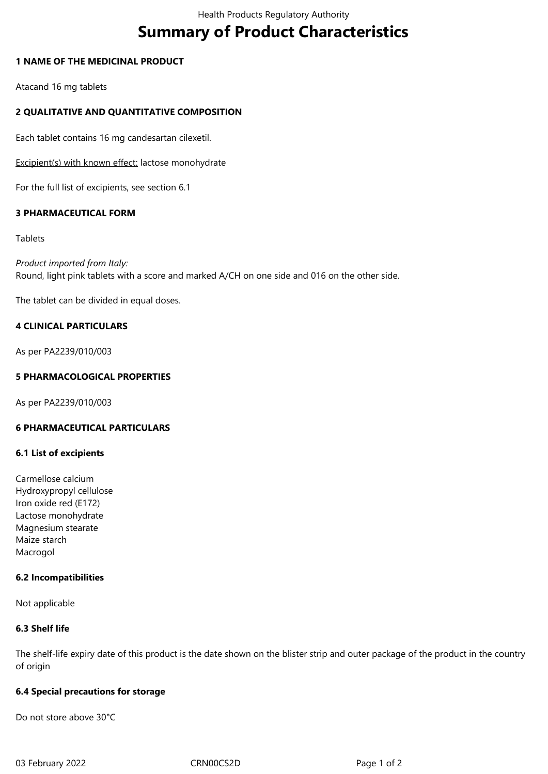# **Summary of Product Characteristics**

## **1 NAME OF THE MEDICINAL PRODUCT**

Atacand 16 mg tablets

# **2 QUALITATIVE AND QUANTITATIVE COMPOSITION**

Each tablet contains 16 mg candesartan cilexetil.

Excipient(s) with known effect: lactose monohydrate

For the full list of excipients, see section 6.1

## **3 PHARMACEUTICAL FORM**

#### **Tablets**

*Product imported from Italy:* Round, light pink tablets with a score and marked A/CH on one side and 016 on the other side.

The tablet can be divided in equal doses.

# **4 CLINICAL PARTICULARS**

As per PA2239/010/003

## **5 PHARMACOLOGICAL PROPERTIES**

As per PA2239/010/003

## **6 PHARMACEUTICAL PARTICULARS**

#### **6.1 List of excipients**

Carmellose calcium Hydroxypropyl cellulose Iron oxide red (E172) Lactose monohydrate Magnesium stearate Maize starch Macrogol

#### **6.2 Incompatibilities**

Not applicable

# **6.3 Shelf life**

The shelf-life expiry date of this product is the date shown on the blister strip and outer package of the product in the country of origin

#### **6.4 Special precautions for storage**

Do not store above 30°C